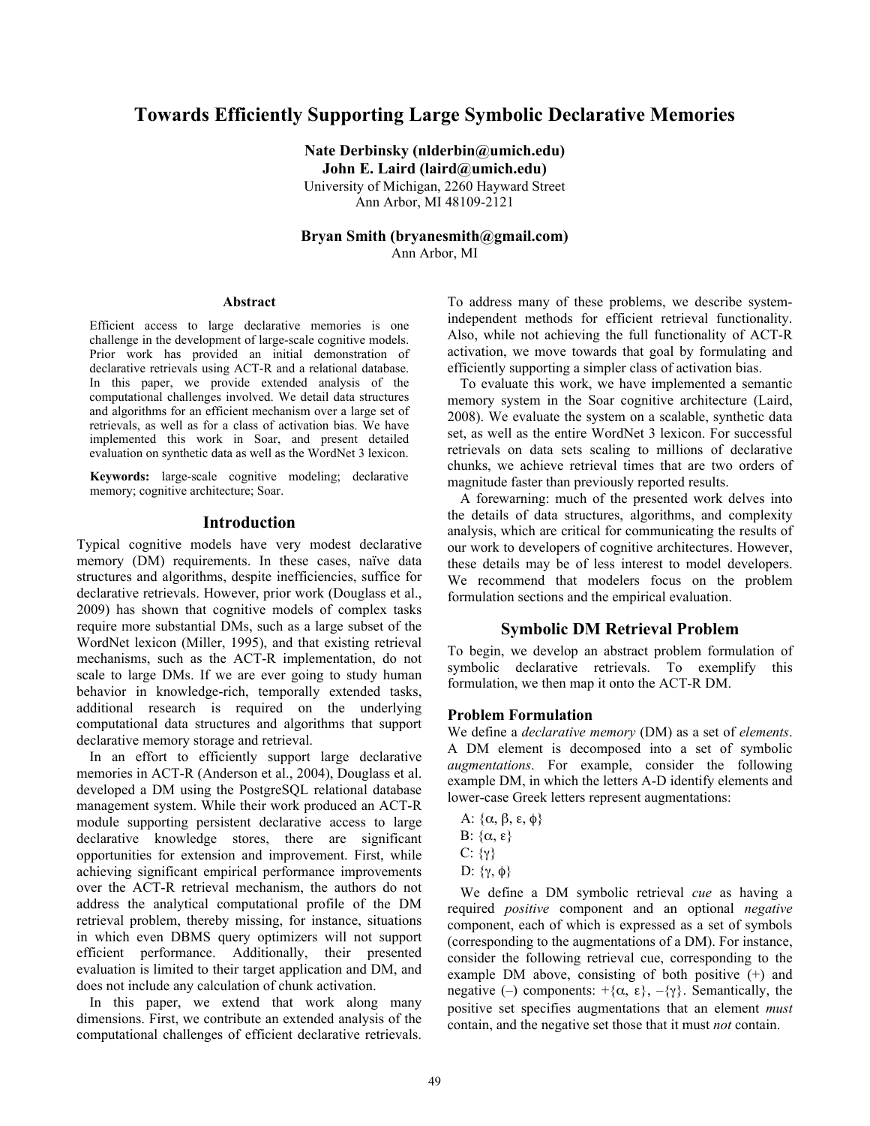# **Towards Efficiently Supporting Large Symbolic Declarative Memories**

**Nate Derbinsky (nlderbin@umich.edu) John E. Laird (laird@umich.edu)** University of Michigan, 2260 Hayward Street Ann Arbor, MI 48109-2121

**Bryan Smith (bryanesmith@gmail.com)**  Ann Arbor, MI

#### **Abstract**

Efficient access to large declarative memories is one challenge in the development of large-scale cognitive models. Prior work has provided an initial demonstration of declarative retrievals using ACT-R and a relational database. In this paper, we provide extended analysis of the computational challenges involved. We detail data structures and algorithms for an efficient mechanism over a large set of retrievals, as well as for a class of activation bias. We have implemented this work in Soar, and present detailed evaluation on synthetic data as well as the WordNet 3 lexicon.

**Keywords:** large-scale cognitive modeling; declarative memory; cognitive architecture; Soar.

# **Introduction**

Typical cognitive models have very modest declarative memory (DM) requirements. In these cases, naïve data structures and algorithms, despite inefficiencies, suffice for declarative retrievals. However, prior work (Douglass et al., 2009) has shown that cognitive models of complex tasks require more substantial DMs, such as a large subset of the WordNet lexicon (Miller, 1995), and that existing retrieval mechanisms, such as the ACT-R implementation, do not scale to large DMs. If we are ever going to study human behavior in knowledge-rich, temporally extended tasks, additional research is required on the underlying computational data structures and algorithms that support declarative memory storage and retrieval.

In an effort to efficiently support large declarative memories in ACT-R (Anderson et al., 2004), Douglass et al. developed a DM using the PostgreSQL relational database management system. While their work produced an ACT-R module supporting persistent declarative access to large declarative knowledge stores, there are significant opportunities for extension and improvement. First, while achieving significant empirical performance improvements over the ACT-R retrieval mechanism, the authors do not address the analytical computational profile of the DM retrieval problem, thereby missing, for instance, situations in which even DBMS query optimizers will not support efficient performance. Additionally, their presented evaluation is limited to their target application and DM, and does not include any calculation of chunk activation.

In this paper, we extend that work along many dimensions. First, we contribute an extended analysis of the computational challenges of efficient declarative retrievals.

To address many of these problems, we describe systemindependent methods for efficient retrieval functionality. Also, while not achieving the full functionality of ACT-R activation, we move towards that goal by formulating and efficiently supporting a simpler class of activation bias.

To evaluate this work, we have implemented a semantic memory system in the Soar cognitive architecture (Laird, 2008). We evaluate the system on a scalable, synthetic data set, as well as the entire WordNet 3 lexicon. For successful retrievals on data sets scaling to millions of declarative chunks, we achieve retrieval times that are two orders of magnitude faster than previously reported results.

A forewarning: much of the presented work delves into the details of data structures, algorithms, and complexity analysis, which are critical for communicating the results of our work to developers of cognitive architectures. However, these details may be of less interest to model developers. We recommend that modelers focus on the problem formulation sections and the empirical evaluation.

## **Symbolic DM Retrieval Problem**

To begin, we develop an abstract problem formulation of symbolic declarative retrievals. To exemplify this formulation, we then map it onto the ACT-R DM.

#### **Problem Formulation**

We define a *declarative memory* (DM) as a set of *elements*. A DM element is decomposed into a set of symbolic *augmentations*. For example, consider the following example DM, in which the letters A-D identify elements and lower-case Greek letters represent augmentations:

- A:  $\{\alpha, \beta, \epsilon, \phi\}$
- B:  $\{\alpha, \epsilon\}$
- C:  $\{\gamma\}$
- D:  $\{γ, φ\}$

We define a DM symbolic retrieval *cue* as having a required *positive* component and an optional *negative* component, each of which is expressed as a set of symbols (corresponding to the augmentations of a DM). For instance, consider the following retrieval cue, corresponding to the example DM above, consisting of both positive (+) and negative (–) components:  $+\{\alpha, \varepsilon\}, -\{\gamma\}$ . Semantically, the positive set specifies augmentations that an element *must* contain, and the negative set those that it must *not* contain.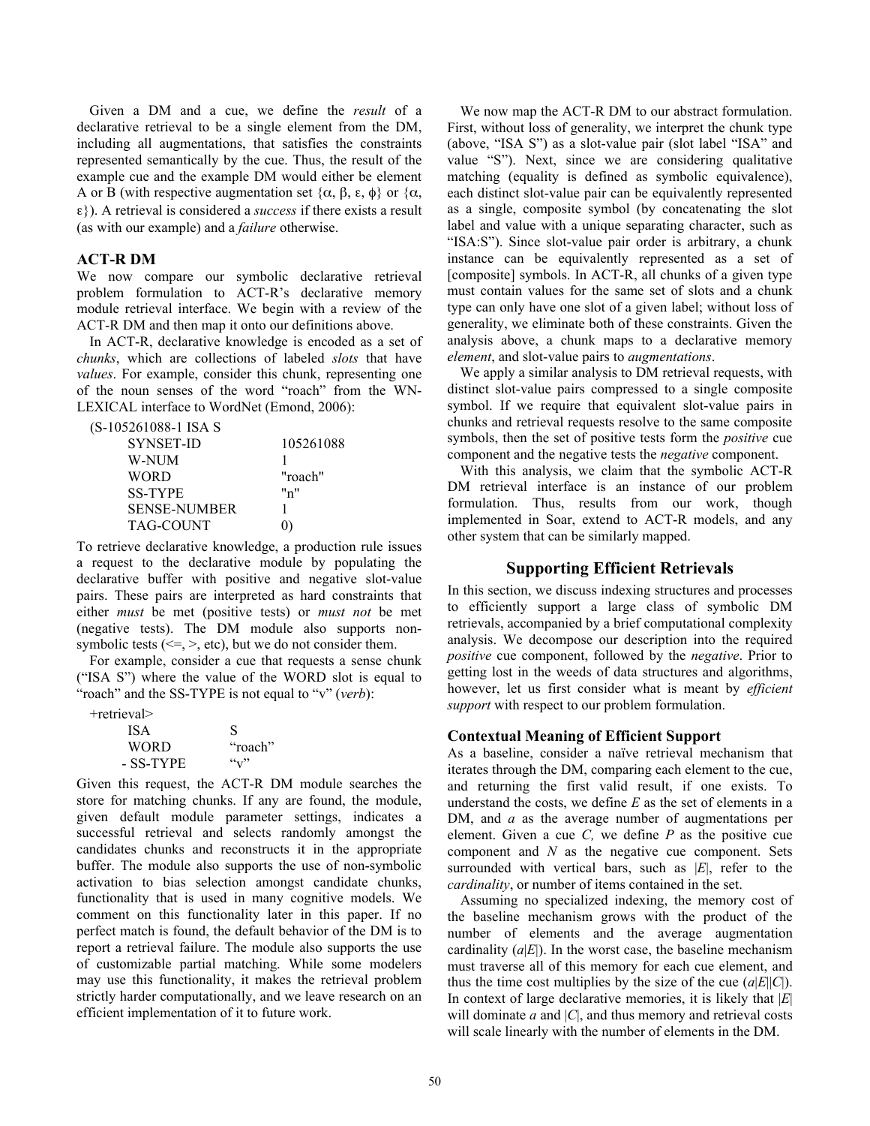Given a DM and a cue, we define the *result* of a declarative retrieval to be a single element from the DM, including all augmentations, that satisfies the constraints represented semantically by the cue. Thus, the result of the example cue and the example DM would either be element A or B (with respective augmentation set  $\{\alpha, \beta, \varepsilon, \phi\}$  or  $\{\alpha, \beta, \varepsilon, \phi\}$ ε}). A retrieval is considered a *success* if there exists a result (as with our example) and a *failure* otherwise.

## **ACT-R DM**

We now compare our symbolic declarative retrieval problem formulation to ACT-R's declarative memory module retrieval interface. We begin with a review of the ACT-R DM and then map it onto our definitions above.

In ACT-R, declarative knowledge is encoded as a set of *chunks*, which are collections of labeled *slots* that have *values*. For example, consider this chunk, representing one of the noun senses of the word "roach" from the WN-LEXICAL interface to WordNet (Emond, 2006):

| (S-105261088-1 ISA S) |
|-----------------------|
|-----------------------|

| SYNSET-ID           | 105261088 |
|---------------------|-----------|
| W-NUM               |           |
| <b>WORD</b>         | "roach"   |
| <b>SS-TYPE</b>      | "n"       |
| <b>SENSE-NUMBER</b> |           |
| TAG-COUNT           |           |

To retrieve declarative knowledge, a production rule issues a request to the declarative module by populating the declarative buffer with positive and negative slot-value pairs. These pairs are interpreted as hard constraints that either *must* be met (positive tests) or *must not* be met (negative tests). The DM module also supports nonsymbolic tests  $(\leq=, >, etc)$ , but we do not consider them.

For example, consider a cue that requests a sense chunk ("ISA S") where the value of the WORD slot is equal to "roach" and the SS-TYPE is not equal to "v" (*verb*):

| $+$ retrieval $>$ |         |
|-------------------|---------|
| <b>ISA</b>        | S       |
| <b>WORD</b>       | "roach" |
| - SS-TYPE         | (6, 7)  |

Given this request, the ACT-R DM module searches the store for matching chunks. If any are found, the module, given default module parameter settings, indicates a successful retrieval and selects randomly amongst the candidates chunks and reconstructs it in the appropriate buffer. The module also supports the use of non-symbolic activation to bias selection amongst candidate chunks, functionality that is used in many cognitive models. We comment on this functionality later in this paper. If no perfect match is found, the default behavior of the DM is to report a retrieval failure. The module also supports the use of customizable partial matching. While some modelers may use this functionality, it makes the retrieval problem strictly harder computationally, and we leave research on an efficient implementation of it to future work.

We now map the ACT-R DM to our abstract formulation. First, without loss of generality, we interpret the chunk type (above, "ISA S") as a slot-value pair (slot label "ISA" and value "S"). Next, since we are considering qualitative matching (equality is defined as symbolic equivalence), each distinct slot-value pair can be equivalently represented as a single, composite symbol (by concatenating the slot label and value with a unique separating character, such as "ISA:S"). Since slot-value pair order is arbitrary, a chunk instance can be equivalently represented as a set of [composite] symbols. In ACT-R, all chunks of a given type must contain values for the same set of slots and a chunk type can only have one slot of a given label; without loss of generality, we eliminate both of these constraints. Given the analysis above, a chunk maps to a declarative memory *element*, and slot-value pairs to *augmentations*.

We apply a similar analysis to DM retrieval requests, with distinct slot-value pairs compressed to a single composite symbol. If we require that equivalent slot-value pairs in chunks and retrieval requests resolve to the same composite symbols, then the set of positive tests form the *positive* cue component and the negative tests the *negative* component.

With this analysis, we claim that the symbolic ACT-R DM retrieval interface is an instance of our problem formulation. Thus, results from our work, though implemented in Soar, extend to ACT-R models, and any other system that can be similarly mapped.

## **Supporting Efficient Retrievals**

In this section, we discuss indexing structures and processes to efficiently support a large class of symbolic DM retrievals, accompanied by a brief computational complexity analysis. We decompose our description into the required *positive* cue component, followed by the *negative*. Prior to getting lost in the weeds of data structures and algorithms, however, let us first consider what is meant by *efficient support* with respect to our problem formulation.

## **Contextual Meaning of Efficient Support**

As a baseline, consider a naïve retrieval mechanism that iterates through the DM, comparing each element to the cue, and returning the first valid result, if one exists. To understand the costs, we define *E* as the set of elements in a DM, and *a* as the average number of augmentations per element. Given a cue *C,* we define *P* as the positive cue component and *N* as the negative cue component. Sets surrounded with vertical bars, such as |*E*|, refer to the *cardinality*, or number of items contained in the set.

Assuming no specialized indexing, the memory cost of the baseline mechanism grows with the product of the number of elements and the average augmentation cardinality  $(a|E|)$ . In the worst case, the baseline mechanism must traverse all of this memory for each cue element, and thus the time cost multiplies by the size of the cue  $(a|E||C)$ . In context of large declarative memories, it is likely that |*E*| will dominate  $a$  and  $|C|$ , and thus memory and retrieval costs will scale linearly with the number of elements in the DM.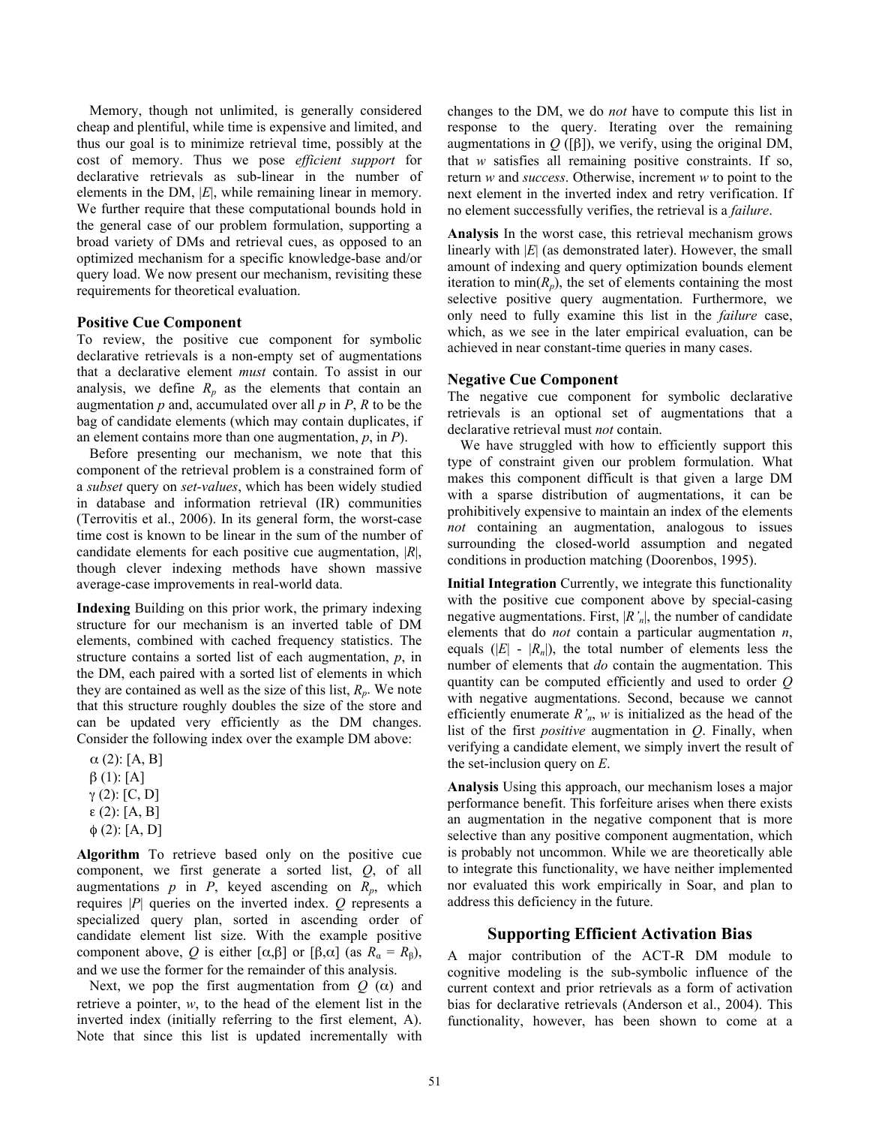Memory, though not unlimited, is generally considered cheap and plentiful, while time is expensive and limited, and thus our goal is to minimize retrieval time, possibly at the cost of memory. Thus we pose *efficient support* for declarative retrievals as sub-linear in the number of elements in the DM, |*E*|, while remaining linear in memory. We further require that these computational bounds hold in the general case of our problem formulation, supporting a broad variety of DMs and retrieval cues, as opposed to an optimized mechanism for a specific knowledge-base and/or query load. We now present our mechanism, revisiting these requirements for theoretical evaluation.

#### **Positive Cue Component**

To review, the positive cue component for symbolic declarative retrievals is a non-empty set of augmentations that a declarative element *must* contain. To assist in our analysis, we define  $R_p$  as the elements that contain an augmentation  $p$  and, accumulated over all  $p$  in  $P$ ,  $R$  to be the bag of candidate elements (which may contain duplicates, if an element contains more than one augmentation, *p*, in *P*).

Before presenting our mechanism, we note that this component of the retrieval problem is a constrained form of a *subset* query on *set-values*, which has been widely studied in database and information retrieval (IR) communities (Terrovitis et al., 2006). In its general form, the worst-case time cost is known to be linear in the sum of the number of candidate elements for each positive cue augmentation, |*R*|, though clever indexing methods have shown massive average-case improvements in real-world data.

**Indexing** Building on this prior work, the primary indexing structure for our mechanism is an inverted table of DM elements, combined with cached frequency statistics. The structure contains a sorted list of each augmentation, *p*, in the DM, each paired with a sorted list of elements in which they are contained as well as the size of this list, *Rp*. We note that this structure roughly doubles the size of the store and can be updated very efficiently as the DM changes. Consider the following index over the example DM above:

 $\alpha$  (2): [A, B]  $β(1): [A]$  $γ(2): [C, D]$ ε (2): [A, B]  $φ(2): [A, D]$ 

**Algorithm** To retrieve based only on the positive cue component, we first generate a sorted list, *Q*, of all augmentations  $p$  in  $P$ , keyed ascending on  $R_p$ , which requires |*P*| queries on the inverted index. *Q* represents a specialized query plan, sorted in ascending order of candidate element list size. With the example positive component above, *Q* is either [ $\alpha, \beta$ ] or [ $\beta, \alpha$ ] (as  $R_\alpha = R_\beta$ ), and we use the former for the remainder of this analysis.

Next, we pop the first augmentation from  $Q(\alpha)$  and retrieve a pointer, *w*, to the head of the element list in the inverted index (initially referring to the first element, A). Note that since this list is updated incrementally with changes to the DM, we do *not* have to compute this list in response to the query. Iterating over the remaining augmentations in  $Q$  ([β]), we verify, using the original DM, that *w* satisfies all remaining positive constraints. If so, return *w* and *success*. Otherwise, increment *w* to point to the next element in the inverted index and retry verification. If no element successfully verifies, the retrieval is a *failure*.

**Analysis** In the worst case, this retrieval mechanism grows linearly with |*E*| (as demonstrated later). However, the small amount of indexing and query optimization bounds element iteration to min $(R_p)$ , the set of elements containing the most selective positive query augmentation. Furthermore, we only need to fully examine this list in the *failure* case, which, as we see in the later empirical evaluation, can be achieved in near constant-time queries in many cases.

#### **Negative Cue Component**

The negative cue component for symbolic declarative retrievals is an optional set of augmentations that a declarative retrieval must *not* contain.

We have struggled with how to efficiently support this type of constraint given our problem formulation. What makes this component difficult is that given a large DM with a sparse distribution of augmentations, it can be prohibitively expensive to maintain an index of the elements *not* containing an augmentation, analogous to issues surrounding the closed-world assumption and negated conditions in production matching (Doorenbos, 1995).

**Initial Integration** Currently, we integrate this functionality with the positive cue component above by special-casing negative augmentations. First, |*R'n*|, the number of candidate elements that do *not* contain a particular augmentation *n*, equals  $(|E| - |R_n|)$ , the total number of elements less the number of elements that *do* contain the augmentation. This quantity can be computed efficiently and used to order *Q* with negative augmentations. Second, because we cannot efficiently enumerate  $R'_n$ ,  $w$  is initialized as the head of the list of the first *positive* augmentation in *Q*. Finally, when verifying a candidate element, we simply invert the result of the set-inclusion query on *E*.

**Analysis** Using this approach, our mechanism loses a major performance benefit. This forfeiture arises when there exists an augmentation in the negative component that is more selective than any positive component augmentation, which is probably not uncommon. While we are theoretically able to integrate this functionality, we have neither implemented nor evaluated this work empirically in Soar, and plan to address this deficiency in the future.

## **Supporting Efficient Activation Bias**

A major contribution of the ACT-R DM module to cognitive modeling is the sub-symbolic influence of the current context and prior retrievals as a form of activation bias for declarative retrievals (Anderson et al., 2004). This functionality, however, has been shown to come at a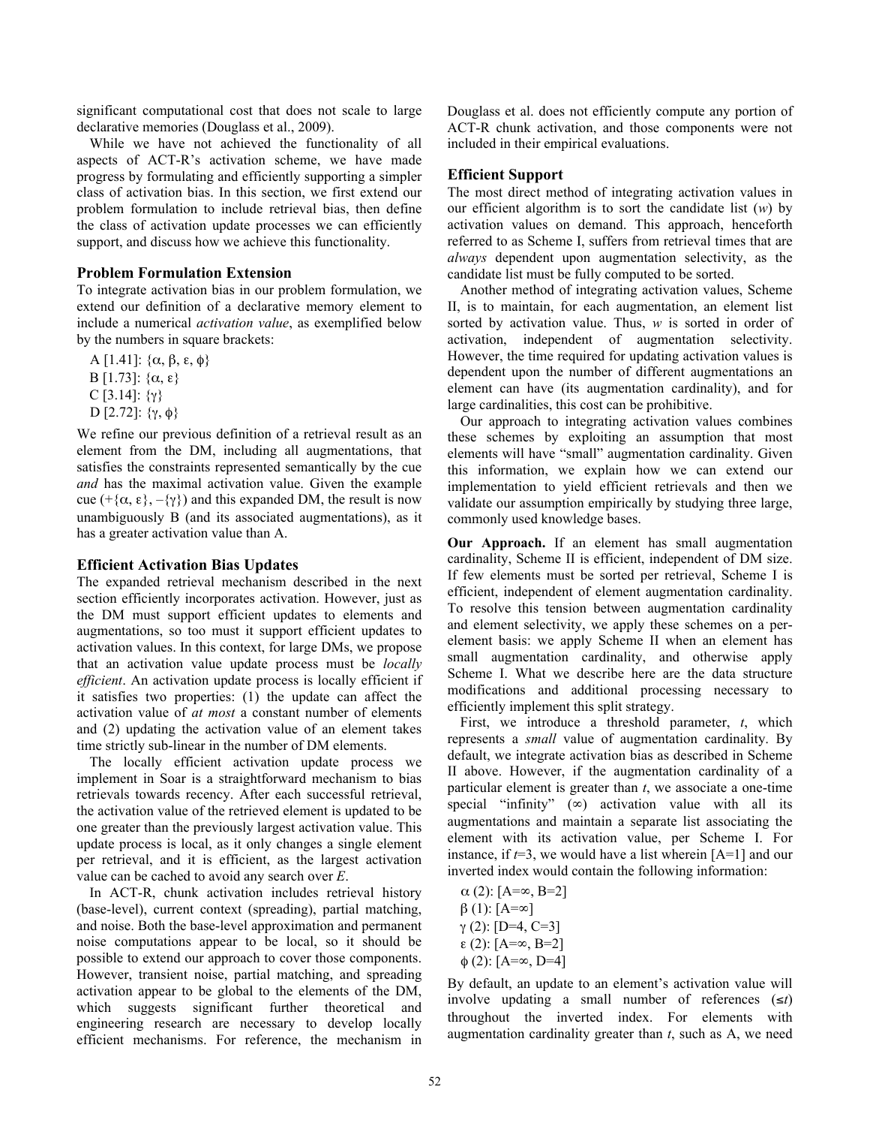significant computational cost that does not scale to large declarative memories (Douglass et al., 2009).

While we have not achieved the functionality of all aspects of ACT-R's activation scheme, we have made progress by formulating and efficiently supporting a simpler class of activation bias. In this section, we first extend our problem formulation to include retrieval bias, then define the class of activation update processes we can efficiently support, and discuss how we achieve this functionality.

### **Problem Formulation Extension**

To integrate activation bias in our problem formulation, we extend our definition of a declarative memory element to include a numerical *activation value*, as exemplified below by the numbers in square brackets:

A [1.41]:  $\{\alpha, \beta, \epsilon, \phi\}$ B [1.73]:  $\{\alpha, \epsilon\}$ C [3.14]:  $\{\gamma\}$ D [2.72]:  $\{\gamma, \phi\}$ 

We refine our previous definition of a retrieval result as an element from the DM, including all augmentations, that satisfies the constraints represented semantically by the cue *and* has the maximal activation value. Given the example cue (+ $\{\alpha, \varepsilon\}, -\{\gamma\}$ ) and this expanded DM, the result is now unambiguously B (and its associated augmentations), as it has a greater activation value than A.

#### **Efficient Activation Bias Updates**

The expanded retrieval mechanism described in the next section efficiently incorporates activation. However, just as the DM must support efficient updates to elements and augmentations, so too must it support efficient updates to activation values. In this context, for large DMs, we propose that an activation value update process must be *locally efficient*. An activation update process is locally efficient if it satisfies two properties: (1) the update can affect the activation value of *at most* a constant number of elements and (2) updating the activation value of an element takes time strictly sub-linear in the number of DM elements.

The locally efficient activation update process we implement in Soar is a straightforward mechanism to bias retrievals towards recency. After each successful retrieval, the activation value of the retrieved element is updated to be one greater than the previously largest activation value. This update process is local, as it only changes a single element per retrieval, and it is efficient, as the largest activation value can be cached to avoid any search over *E*.

In ACT-R, chunk activation includes retrieval history (base-level), current context (spreading), partial matching, and noise. Both the base-level approximation and permanent noise computations appear to be local, so it should be possible to extend our approach to cover those components. However, transient noise, partial matching, and spreading activation appear to be global to the elements of the DM, which suggests significant further theoretical and engineering research are necessary to develop locally efficient mechanisms. For reference, the mechanism in

Douglass et al. does not efficiently compute any portion of ACT-R chunk activation, and those components were not included in their empirical evaluations.

## **Efficient Support**

The most direct method of integrating activation values in our efficient algorithm is to sort the candidate list (*w*) by activation values on demand. This approach, henceforth referred to as Scheme I, suffers from retrieval times that are *always* dependent upon augmentation selectivity, as the candidate list must be fully computed to be sorted.

Another method of integrating activation values, Scheme II, is to maintain, for each augmentation, an element list sorted by activation value. Thus, *w* is sorted in order of activation, independent of augmentation selectivity. However, the time required for updating activation values is dependent upon the number of different augmentations an element can have (its augmentation cardinality), and for large cardinalities, this cost can be prohibitive.

Our approach to integrating activation values combines these schemes by exploiting an assumption that most elements will have "small" augmentation cardinality. Given this information, we explain how we can extend our implementation to yield efficient retrievals and then we validate our assumption empirically by studying three large, commonly used knowledge bases.

**Our Approach.** If an element has small augmentation cardinality, Scheme II is efficient, independent of DM size. If few elements must be sorted per retrieval, Scheme I is efficient, independent of element augmentation cardinality. To resolve this tension between augmentation cardinality and element selectivity, we apply these schemes on a perelement basis: we apply Scheme II when an element has small augmentation cardinality, and otherwise apply Scheme I. What we describe here are the data structure modifications and additional processing necessary to efficiently implement this split strategy.

First, we introduce a threshold parameter, *t*, which represents a *small* value of augmentation cardinality. By default, we integrate activation bias as described in Scheme II above. However, if the augmentation cardinality of a particular element is greater than *t*, we associate a one-time special "infinity"  $(\infty)$  activation value with all its augmentations and maintain a separate list associating the element with its activation value, per Scheme I. For instance, if  $t=3$ , we would have a list wherein  $[A=1]$  and our inverted index would contain the following information:

α (2): [A=∞, B=2]  $β(1): [A=\infty]$  $γ(2): [D=4, C=3]$ ε (2): [A=∞, B=2] φ (2): [A=∞, D=4]

By default, an update to an element's activation value will involve updating a small number of references  $(\leq t)$ throughout the inverted index. For elements with augmentation cardinality greater than *t*, such as A, we need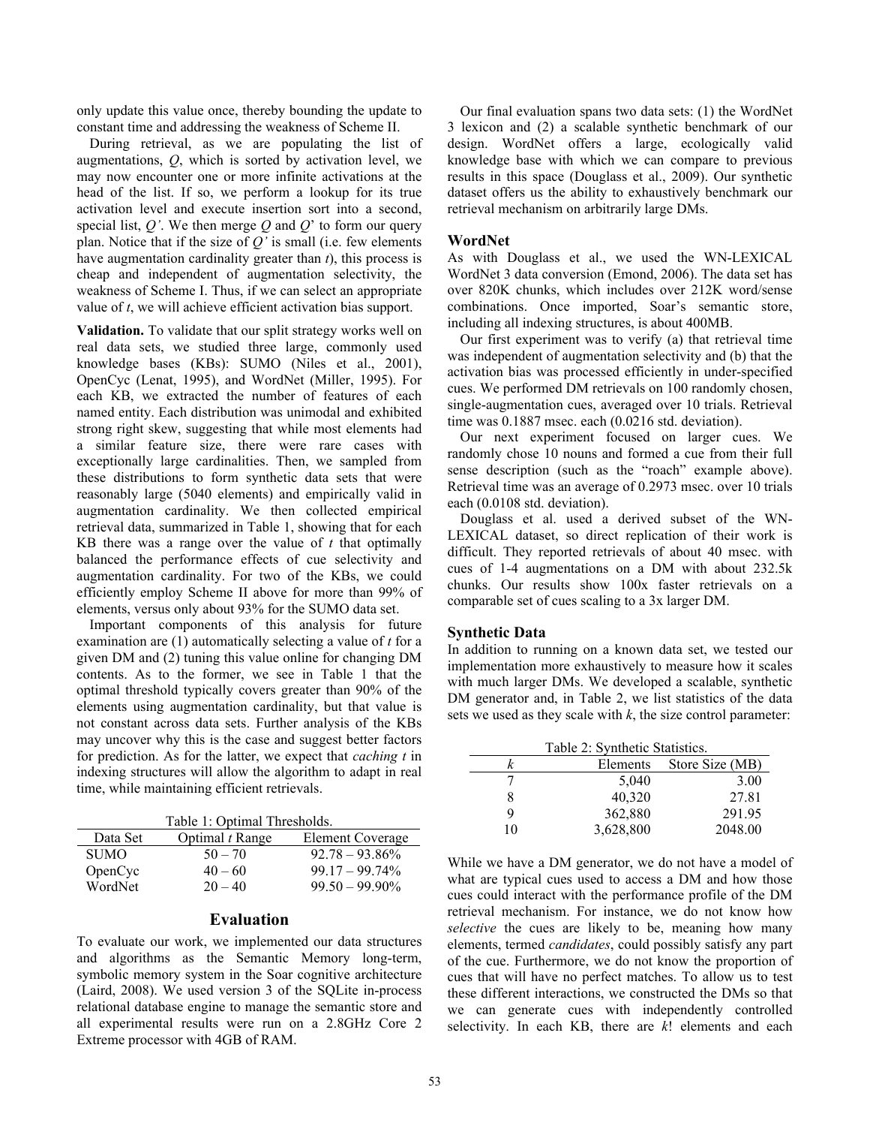only update this value once, thereby bounding the update to constant time and addressing the weakness of Scheme II.

During retrieval, as we are populating the list of augmentations, *Q*, which is sorted by activation level, we may now encounter one or more infinite activations at the head of the list. If so, we perform a lookup for its true activation level and execute insertion sort into a second, special list, *Q'*. We then merge *Q* and *Q*' to form our query plan. Notice that if the size of *Q'* is small (i.e. few elements have augmentation cardinality greater than *t*), this process is cheap and independent of augmentation selectivity, the weakness of Scheme I. Thus, if we can select an appropriate value of *t*, we will achieve efficient activation bias support.

**Validation.** To validate that our split strategy works well on real data sets, we studied three large, commonly used knowledge bases (KBs): SUMO (Niles et al., 2001), OpenCyc (Lenat, 1995), and WordNet (Miller, 1995). For each KB, we extracted the number of features of each named entity. Each distribution was unimodal and exhibited strong right skew, suggesting that while most elements had a similar feature size, there were rare cases with exceptionally large cardinalities. Then, we sampled from these distributions to form synthetic data sets that were reasonably large (5040 elements) and empirically valid in augmentation cardinality. We then collected empirical retrieval data, summarized in Table 1, showing that for each KB there was a range over the value of *t* that optimally balanced the performance effects of cue selectivity and augmentation cardinality. For two of the KBs, we could efficiently employ Scheme II above for more than 99% of elements, versus only about 93% for the SUMO data set.

Important components of this analysis for future examination are (1) automatically selecting a value of *t* for a given DM and (2) tuning this value online for changing DM contents. As to the former, we see in Table 1 that the optimal threshold typically covers greater than 90% of the elements using augmentation cardinality, but that value is not constant across data sets. Further analysis of the KBs may uncover why this is the case and suggest better factors for prediction. As for the latter, we expect that *caching t* in indexing structures will allow the algorithm to adapt in real time, while maintaining efficient retrievals.

Table 1: Optimal Thresholds.

| Data Set    | Optimal <i>t</i> Range | Element Coverage  |
|-------------|------------------------|-------------------|
| <b>SUMO</b> | $50 - 70$              | $92.78 - 93.86\%$ |
| OpenCyc     | $40 - 60$              | $99.17 - 99.74\%$ |
| WordNet     | $20 - 40$              | $99.50 - 99.90\%$ |

#### **Evaluation**

To evaluate our work, we implemented our data structures and algorithms as the Semantic Memory long-term, symbolic memory system in the Soar cognitive architecture (Laird, 2008). We used version 3 of the SQLite in-process relational database engine to manage the semantic store and all experimental results were run on a 2.8GHz Core 2 Extreme processor with 4GB of RAM.

Our final evaluation spans two data sets: (1) the WordNet 3 lexicon and (2) a scalable synthetic benchmark of our design. WordNet offers a large, ecologically valid knowledge base with which we can compare to previous results in this space (Douglass et al., 2009). Our synthetic dataset offers us the ability to exhaustively benchmark our retrieval mechanism on arbitrarily large DMs.

#### **WordNet**

As with Douglass et al., we used the WN-LEXICAL WordNet 3 data conversion (Emond, 2006). The data set has over 820K chunks, which includes over 212K word/sense combinations. Once imported, Soar's semantic store, including all indexing structures, is about 400MB.

Our first experiment was to verify (a) that retrieval time was independent of augmentation selectivity and (b) that the activation bias was processed efficiently in under-specified cues. We performed DM retrievals on 100 randomly chosen, single-augmentation cues, averaged over 10 trials. Retrieval time was 0.1887 msec. each (0.0216 std. deviation).

Our next experiment focused on larger cues. We randomly chose 10 nouns and formed a cue from their full sense description (such as the "roach" example above). Retrieval time was an average of 0.2973 msec. over 10 trials each (0.0108 std. deviation).

Douglass et al. used a derived subset of the WN-LEXICAL dataset, so direct replication of their work is difficult. They reported retrievals of about 40 msec. with cues of 1-4 augmentations on a DM with about 232.5k chunks. Our results show 100x faster retrievals on a comparable set of cues scaling to a 3x larger DM.

#### **Synthetic Data**

In addition to running on a known data set, we tested our implementation more exhaustively to measure how it scales with much larger DMs. We developed a scalable, synthetic DM generator and, in Table 2, we list statistics of the data sets we used as they scale with *k*, the size control parameter:

| Table 2: Synthetic Statistics. |           |                 |  |  |
|--------------------------------|-----------|-----------------|--|--|
| k                              | Elements  | Store Size (MB) |  |  |
|                                | 5,040     | 3.00            |  |  |
| 8                              | 40,320    | 27.81           |  |  |
| 9                              | 362,880   | 291.95          |  |  |
| 10                             | 3,628,800 | 2048.00         |  |  |

While we have a DM generator, we do not have a model of what are typical cues used to access a DM and how those cues could interact with the performance profile of the DM retrieval mechanism. For instance, we do not know how *selective* the cues are likely to be, meaning how many elements, termed *candidates*, could possibly satisfy any part of the cue. Furthermore, we do not know the proportion of cues that will have no perfect matches. To allow us to test these different interactions, we constructed the DMs so that we can generate cues with independently controlled selectivity. In each KB, there are *k*! elements and each